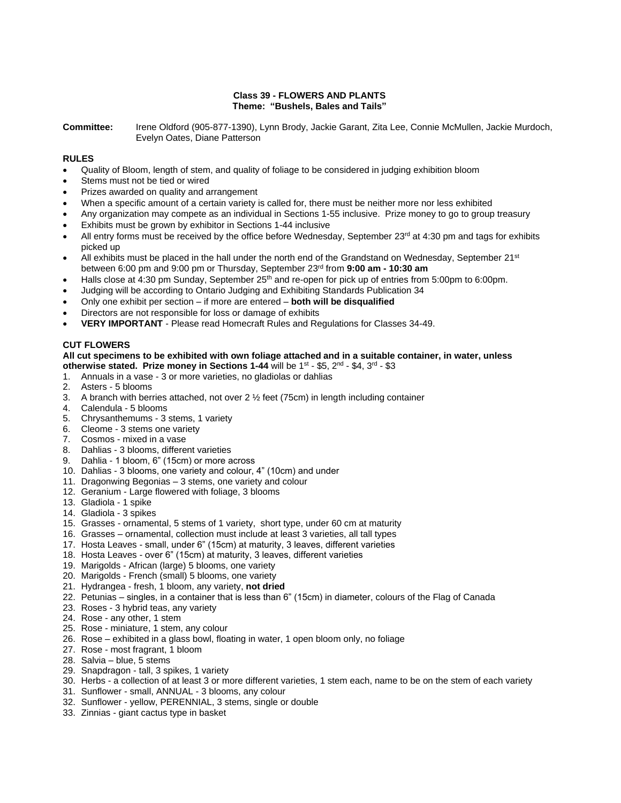# **Class 39 - FLOWERS AND PLANTS Theme: "Bushels, Bales and Tails"**

**Committee:** Irene Oldford (905-877-1390), Lynn Brody, Jackie Garant, Zita Lee, Connie McMullen, Jackie Murdoch, Evelyn Oates, Diane Patterson

# **RULES**

- Quality of Bloom, length of stem, and quality of foliage to be considered in judging exhibition bloom
- Stems must not be tied or wired
- Prizes awarded on quality and arrangement
- When a specific amount of a certain variety is called for, there must be neither more nor less exhibited
- Any organization may compete as an individual in Sections 1-55 inclusive. Prize money to go to group treasury
- Exhibits must be grown by exhibitor in Sections 1-44 inclusive
- All entry forms must be received by the office before Wednesday, September 23<sup>rd</sup> at 4:30 pm and tags for exhibits picked up
- All exhibits must be placed in the hall under the north end of the Grandstand on Wednesday, September 21<sup>st</sup> between 6:00 pm and 9:00 pm or Thursday, September 23 rd from **9:00 am - 10:30 am**
- Halls close at 4:30 pm Sunday, September  $25<sup>th</sup>$  and re-open for pick up of entries from 5:00pm to 6:00pm.
- Judging will be according to Ontario Judging and Exhibiting Standards Publication 34
- Only one exhibit per section if more are entered **both will be disqualified**
- Directors are not responsible for loss or damage of exhibits
- **VERY IMPORTANT**  Please read Homecraft Rules and Regulations for Classes 34-49.

# **CUT FLOWERS**

#### **All cut specimens to be exhibited with own foliage attached and in a suitable container, in water, unless**  otherwise stated. Prize money in Sections 1-44 will be 1<sup>st</sup> - \$5, 2<sup>nd</sup> - \$4, 3<sup>rd</sup> - \$3

- 1. Annuals in a vase 3 or more varieties, no gladiolas or dahlias
- 2. Asters 5 blooms
- 3. A branch with berries attached, not over 2 ½ feet (75cm) in length including container
- 4. Calendula 5 blooms
- 5. Chrysanthemums 3 stems, 1 variety
- 6. Cleome 3 stems one variety
- 7. Cosmos mixed in a vase
- 8. Dahlias 3 blooms, different varieties
- 9. Dahlia 1 bloom, 6" (15cm) or more across
- 10. Dahlias 3 blooms, one variety and colour, 4" (10cm) and under
- 11. Dragonwing Begonias 3 stems, one variety and colour
- 12. Geranium Large flowered with foliage, 3 blooms
- 13. Gladiola 1 spike
- 14. Gladiola 3 spikes
- 15. Grasses ornamental, 5 stems of 1 variety, short type, under 60 cm at maturity
- 16. Grasses ornamental, collection must include at least 3 varieties, all tall types
- 17. Hosta Leaves small, under 6" (15cm) at maturity, 3 leaves, different varieties
- 18. Hosta Leaves over 6" (15cm) at maturity, 3 leaves, different varieties
- 19. Marigolds African (large) 5 blooms, one variety
- 20. Marigolds French (small) 5 blooms, one variety
- 21. Hydrangea fresh, 1 bloom, any variety, **not dried**
- 22. Petunias singles, in a container that is less than 6" (15cm) in diameter, colours of the Flag of Canada
- 23. Roses 3 hybrid teas, any variety
- 24. Rose any other, 1 stem
- 25. Rose miniature, 1 stem, any colour
- 26. Rose exhibited in a glass bowl, floating in water, 1 open bloom only, no foliage
- 27. Rose most fragrant, 1 bloom
- 28. Salvia blue, 5 stems
- 29. Snapdragon tall, 3 spikes, 1 variety
- 30. Herbs a collection of at least 3 or more different varieties, 1 stem each, name to be on the stem of each variety
- 31. Sunflower small, ANNUAL 3 blooms, any colour
- 32. Sunflower yellow, PERENNIAL, 3 stems, single or double
- 33. Zinnias giant cactus type in basket